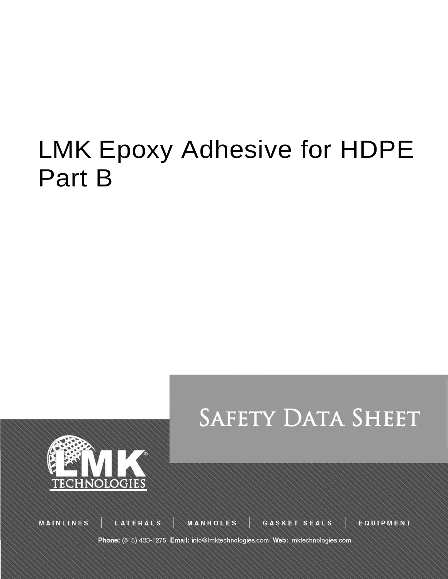# LMK Epoxy Adhesive for HDPE Part B





**MAINLINES** 

LATERALS

MANHOLES

**GASKET SEALS** 

EQUIPMENT

Phone: (815) 433-1275 Email: info@lmktechnologies.com Web: lmktechnologies.com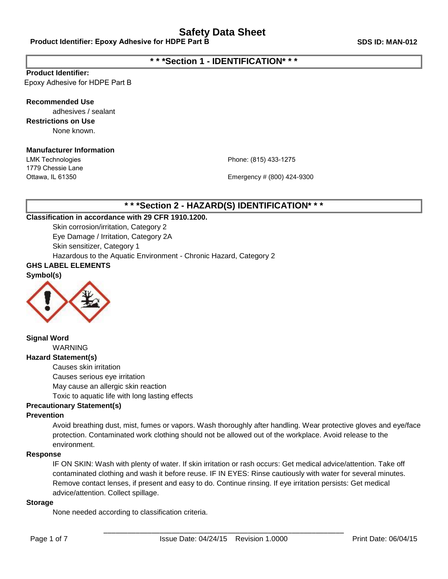## **\* \* \*Section 1 - IDENTIFICATION\* \* \***

#### **Product Identifier:**

Epoxy Adhesive for HDPE Part B

#### **Recommended Use**

adhesives / sealant **Restrictions on Use** None known.

#### **Manufacturer Information**

LMK Technologies 1779 Chessie Lane Ottawa, IL 61350

Phone: (815) 433-1275

Emergency # (800) 424-9300

## **\* \* \*Section 2 - HAZARD(S) IDENTIFICATION\* \* \***

#### **Classification in accordance with 29 CFR 1910.1200.**

Skin corrosion/irritation, Category 2 Eye Damage / Irritation, Category 2A Skin sensitizer, Category 1 Hazardous to the Aquatic Environment - Chronic Hazard, Category 2

## **GHS LABEL ELEMENTS**

**Symbol(s)**



#### **Signal Word** WARNING

#### **Hazard Statement(s)**

Causes skin irritation

Causes serious eye irritation

May cause an allergic skin reaction

Toxic to aquatic life with long lasting effects

#### **Precautionary Statement(s)**

#### **Prevention**

Avoid breathing dust, mist, fumes or vapors. Wash thoroughly after handling. Wear protective gloves and eye/face protection. Contaminated work clothing should not be allowed out of the workplace. Avoid release to the environment.

#### **Response**

IF ON SKIN: Wash with plenty of water. If skin irritation or rash occurs: Get medical advice/attention. Take off contaminated clothing and wash it before reuse. IF IN EYES: Rinse cautiously with water for several minutes. Remove contact lenses, if present and easy to do. Continue rinsing. If eye irritation persists: Get medical advice/attention. Collect spillage.

#### **Storage**

None needed according to classification criteria.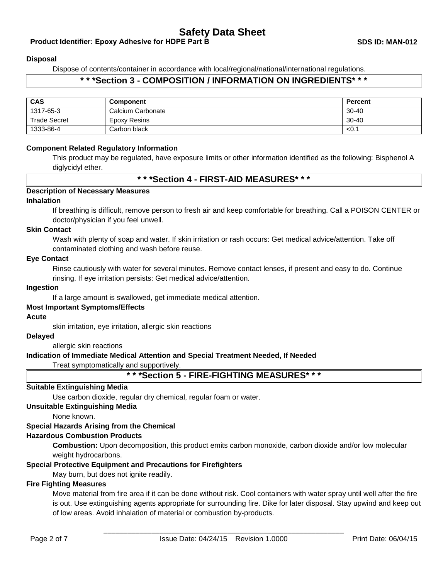#### **Product Identifier: Epoxy Adhesive for HDPE Part B SDS ID: MAN-012**

#### **Disposal**

Dispose of contents/container in accordance with local/regional/national/international regulations.

## **\* \* \*Section 3 - COMPOSITION / INFORMATION ON INGREDIENTS\* \* \***

| <b>CAS</b>          | <b>Component</b>    | Percent   |
|---------------------|---------------------|-----------|
| 1317-65-3           | Calcium Carbonate   | $30 - 40$ |
| <b>Trade Secret</b> | <b>Epoxy Resins</b> | $30 - 40$ |
| 1333-86-4           | Carbon black        | < 0.1     |

#### **Component Related Regulatory Information**

This product may be regulated, have exposure limits or other information identified as the following: Bisphenol A diglycidyl ether.

#### **\* \* \*Section 4 - FIRST-AID MEASURES\* \* \***

#### **Description of Necessary Measures**

#### **Inhalation**

If breathing is difficult, remove person to fresh air and keep comfortable for breathing. Call a POISON CENTER or doctor/physician if you feel unwell.

#### **Skin Contact**

Wash with plenty of soap and water. If skin irritation or rash occurs: Get medical advice/attention. Take off contaminated clothing and wash before reuse.

#### **Eye Contact**

Rinse cautiously with water for several minutes. Remove contact lenses, if present and easy to do. Continue rinsing. If eye irritation persists: Get medical advice/attention.

#### **Ingestion**

If a large amount is swallowed, get immediate medical attention.

#### **Most Important Symptoms/Effects**

#### **Acute**

skin irritation, eye irritation, allergic skin reactions

#### **Delayed**

allergic skin reactions

#### **Indication of Immediate Medical Attention and Special Treatment Needed, If Needed**

Treat symptomatically and supportively.

**\* \* \*Section 5 - FIRE-FIGHTING MEASURES\* \* \***

#### **Suitable Extinguishing Media**

Use carbon dioxide, regular dry chemical, regular foam or water.

#### **Unsuitable Extinguishing Media**

None known.

#### **Special Hazards Arising from the Chemical**

#### **Hazardous Combustion Products**

**Combustion:** Upon decomposition, this product emits carbon monoxide, carbon dioxide and/or low molecular weight hydrocarbons.

#### **Special Protective Equipment and Precautions for Firefighters**

May burn, but does not ignite readily.

#### **Fire Fighting Measures**

Move material from fire area if it can be done without risk. Cool containers with water spray until well after the fire is out. Use extinguishing agents appropriate for surrounding fire. Dike for later disposal. Stay upwind and keep out of low areas. Avoid inhalation of material or combustion by-products.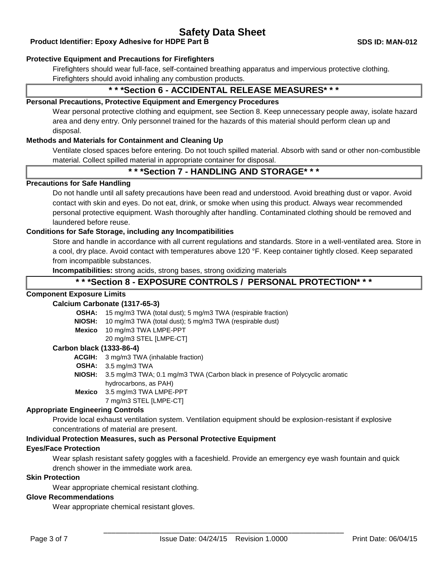#### **Product Identifier: Epoxy Adhesive for HDPE Part B SDS ID: MAN-012**

#### **Protective Equipment and Precautions for Firefighters**

Firefighters should wear full-face, self-contained breathing apparatus and impervious protective clothing. Firefighters should avoid inhaling any combustion products.

## **\* \* \*Section 6 - ACCIDENTAL RELEASE MEASURES\* \* \***

#### **Personal Precautions, Protective Equipment and Emergency Procedures**

Wear personal protective clothing and equipment, see Section 8. Keep unnecessary people away, isolate hazard area and deny entry. Only personnel trained for the hazards of this material should perform clean up and disposal.

#### **Methods and Materials for Containment and Cleaning Up**

Ventilate closed spaces before entering. Do not touch spilled material. Absorb with sand or other non-combustible material. Collect spilled material in appropriate container for disposal.

## **\* \* \*Section 7 - HANDLING AND STORAGE\* \* \***

#### **Precautions for Safe Handling**

Do not handle until all safety precautions have been read and understood. Avoid breathing dust or vapor. Avoid contact with skin and eyes. Do not eat, drink, or smoke when using this product. Always wear recommended personal protective equipment. Wash thoroughly after handling. Contaminated clothing should be removed and laundered before reuse.

#### **Conditions for Safe Storage, including any Incompatibilities**

Store and handle in accordance with all current regulations and standards. Store in a well-ventilated area. Store in a cool, dry place. Avoid contact with temperatures above 120 °F. Keep container tightly closed. Keep separated from incompatible substances.

**Incompatibilities:** strong acids, strong bases, strong oxidizing materials

## **\* \* \*Section 8 - EXPOSURE CONTROLS / PERSONAL PROTECTION\* \* \***

#### **Component Exposure Limits**

#### **Calcium Carbonate (1317-65-3)**

**OSHA:** 15 mg/m3 TWA (total dust); 5 mg/m3 TWA (respirable fraction)

**NIOSH:** 10 mg/m3 TWA (total dust); 5 mg/m3 TWA (respirable dust)

**Mexico** 10 mg/m3 TWA LMPE-PPT

20 mg/m3 STEL [LMPE-CT]

#### **Carbon black (1333-86-4)**

**ACGIH:** 3 mg/m3 TWA (inhalable fraction)

- **OSHA:** 3.5 mg/m3 TWA
- **NIOSH:** 3.5 mg/m3 TWA; 0.1 mg/m3 TWA (Carbon black in presence of Polycyclic aromatic hydrocarbons, as PAH) **Mexico** 3.5 mg/m3 TWA LMPE-PPT
	- 7 mg/m3 STEL [LMPE-CT]

#### **Appropriate Engineering Controls**

Provide local exhaust ventilation system. Ventilation equipment should be explosion-resistant if explosive concentrations of material are present.

#### **Individual Protection Measures, such as Personal Protective Equipment**

#### **Eyes/Face Protection**

Wear splash resistant safety goggles with a faceshield. Provide an emergency eye wash fountain and quick drench shower in the immediate work area.

#### **Skin Protection**

Wear appropriate chemical resistant clothing.

#### **Glove Recommendations**

Wear appropriate chemical resistant gloves.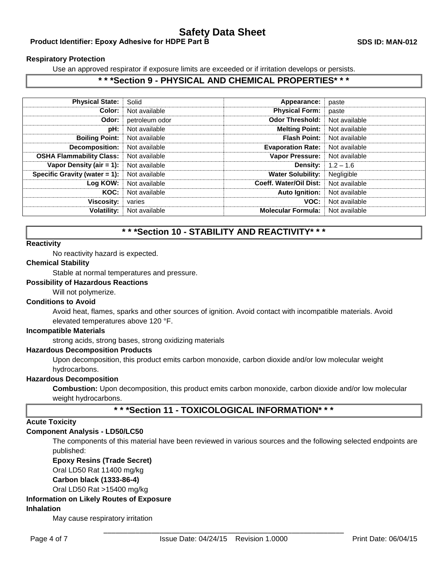#### **Product Identifier: Epoxy Adhesive for HDPE Part B SDS ID: MAN-012**

#### **Respiratory Protection**

Use an approved respirator if exposure limits are exceeded or if irritation develops or persists.

## **\* \* \*Section 9 - PHYSICAL AND CHEMICAL PROPERTIES\* \* \***

| <b>Physical State:</b>           | Solid          | Appearance:               | paste         |
|----------------------------------|----------------|---------------------------|---------------|
| Color:                           | Not available  | <b>Physical Form:</b>     | paste         |
| Odor:                            | petroleum odor | <b>Odor Threshold:</b>    | Not available |
| pH:                              | Not available  | <b>Melting Point:</b>     | Not available |
| <b>Boiling Point:</b>            | Not available  | <b>Flash Point:</b>       | Not available |
| Decomposition:                   | Not available  | <b>Evaporation Rate:</b>  | Not available |
| <b>OSHA Flammability Class:</b>  | Not available  | <b>Vapor Pressure:</b>    | Not available |
| Vapor Density (air $= 1$ ):      | Not available  | <b>Density:</b>           | $1.2 - 1.6$   |
| Specific Gravity (water $= 1$ ): | Not available  | <b>Water Solubility:</b>  | Negligible    |
| Log KOW:                         | Not available  | Coeff. Water/Oil Dist:    | Not available |
| KOC:                             | Not available  | <b>Auto Ignition:</b>     | Not available |
| <b>Viscosity:</b>                | varies         | VOC:                      | Not available |
| <b>Volatility:</b>               | Not available  | <b>Molecular Formula:</b> | Not available |

## **\* \* \*Section 10 - STABILITY AND REACTIVITY\* \* \***

#### **Reactivity**

No reactivity hazard is expected.

#### **Chemical Stability**

Stable at normal temperatures and pressure.

#### **Possibility of Hazardous Reactions**

Will not polymerize.

#### **Conditions to Avoid**

Avoid heat, flames, sparks and other sources of ignition. Avoid contact with incompatible materials. Avoid elevated temperatures above 120 °F.

#### **Incompatible Materials**

strong acids, strong bases, strong oxidizing materials

#### **Hazardous Decomposition Products**

Upon decomposition, this product emits carbon monoxide, carbon dioxide and/or low molecular weight hydrocarbons.

#### **Hazardous Decomposition**

**Combustion:** Upon decomposition, this product emits carbon monoxide, carbon dioxide and/or low molecular weight hydrocarbons.

# **\* \* \*Section 11 - TOXICOLOGICAL INFORMATION\* \* \***

#### **Acute Toxicity**

#### **Component Analysis - LD50/LC50**

The components of this material have been reviewed in various sources and the following selected endpoints are published:

#### **Epoxy Resins (Trade Secret)**

Oral LD50 Rat 11400 mg/kg

**Carbon black (1333-86-4)**

Oral LD50 Rat >15400 mg/kg

#### **Information on Likely Routes of Exposure**

#### **Inhalation**

May cause respiratory irritation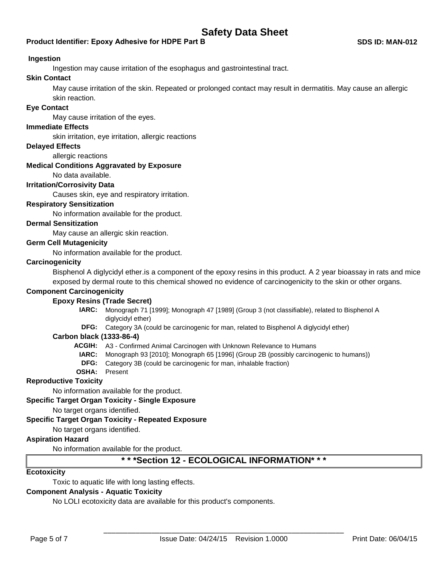#### **Product Identifier: Epoxy Adhesive for HDPE Part B**

#### **Ingestion**

Ingestion may cause irritation of the esophagus and gastrointestinal tract.

## **Skin Contact**

May cause irritation of the skin. Repeated or prolonged contact may result in dermatitis. May cause an allergic skin reaction.

#### **Eye Contact**

May cause irritation of the eyes.

#### **Immediate Effects**

skin irritation, eye irritation, allergic reactions

#### **Delayed Effects**

allergic reactions

#### **Medical Conditions Aggravated by Exposure**

No data available.

#### **Irritation/Corrosivity Data**

Causes skin, eye and respiratory irritation.

#### **Respiratory Sensitization**

No information available for the product.

#### **Dermal Sensitization**

May cause an allergic skin reaction.

#### **Germ Cell Mutagenicity**

No information available for the product.

#### **Carcinogenicity**

Bisphenol A diglycidyl ether.is a component of the epoxy resins in this product. A 2 year bioassay in rats and mice exposed by dermal route to this chemical showed no evidence of carcinogenicity to the skin or other organs.

#### **Component Carcinogenicity**

#### **Epoxy Resins (Trade Secret)**

- **IARC:** Monograph 71 [1999]; Monograph 47 [1989] (Group 3 (not classifiable), related to Bisphenol A diglycidyl ether)
- **DFG:** Category 3A (could be carcinogenic for man, related to Bisphenol A diglycidyl ether)

#### **Carbon black (1333-86-4)**

- **ACGIH:** A3 Confirmed Animal Carcinogen with Unknown Relevance to Humans
	- **IARC:** Monograph 93 [2010]; Monograph 65 [1996] (Group 2B (possibly carcinogenic to humans))
	- **DFG:** Category 3B (could be carcinogenic for man, inhalable fraction)
- **OSHA:** Present

#### **Reproductive Toxicity**

No information available for the product.

#### **Specific Target Organ Toxicity - Single Exposure**

No target organs identified.

#### **Specific Target Organ Toxicity - Repeated Exposure**

No target organs identified.

#### **Aspiration Hazard**

No information available for the product.

## **\* \* \*Section 12 - ECOLOGICAL INFORMATION\* \* \***

#### **Ecotoxicity**

Toxic to aquatic life with long lasting effects.

#### **Component Analysis - Aquatic Toxicity**

No LOLI ecotoxicity data are available for this product's components.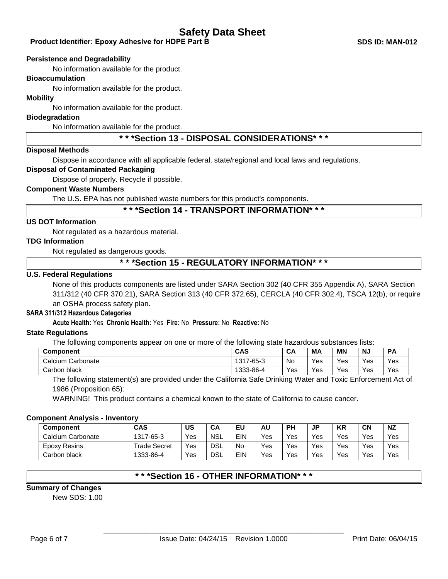#### **Product Identifier: Epoxy Adhesive for HDPE Part B SDS ID: MAN-012**

#### **Persistence and Degradability**

No information available for the product.

#### **Bioaccumulation**

No information available for the product.

#### **Mobility**

No information available for the product.

#### **Biodegradation**

No information available for the product.

## **\* \* \*Section 13 - DISPOSAL CONSIDERATIONS\* \* \***

#### **Disposal Methods**

Dispose in accordance with all applicable federal, state/regional and local laws and regulations.

## **Disposal of Contaminated Packaging**

Dispose of properly. Recycle if possible.

## **Component Waste Numbers**

The U.S. EPA has not published waste numbers for this product's components.

#### **\* \* \*Section 14 - TRANSPORT INFORMATION\* \* \***

#### **US DOT Information**

Not regulated as a hazardous material.

#### **TDG Information**

Not regulated as dangerous goods.

## **\* \* \*Section 15 - REGULATORY INFORMATION\* \* \***

#### **U.S. Federal Regulations**

None of this products components are listed under SARA Section 302 (40 CFR 355 Appendix A), SARA Section 311/312 (40 CFR 370.21), SARA Section 313 (40 CFR 372.65), CERCLA (40 CFR 302.4), TSCA 12(b), or require an OSHA process safety plan.

#### **SARA 311/312 Hazardous Categories**

#### **Acute Health:** Yes **Chronic Health:** Yes **Fire:** No **Pressure:** No **Reactive:** No

#### **State Regulations**

The following components appear on one or more of the following state hazardous substances lists:

| <b>Component</b>  | <b>CAS</b> | UF.       | МA  | <b>MN</b> | NJ  | <b>PA</b> |
|-------------------|------------|-----------|-----|-----------|-----|-----------|
| Calcium Carbonate | 1317-65-3  | <b>No</b> | Yes | Yes       | Yes | Yes       |
| Carbon black      | 1333-86-4  | Yes       | Yes | Yes       | Yes | Yes       |

The following statement(s) are provided under the California Safe Drinking Water and Toxic Enforcement Act of 1986 (Proposition 65):

WARNING! This product contains a chemical known to the state of California to cause cancer.

#### **Component Analysis - Inventory**

| <b>Component</b>  | <b>CAS</b>          | US  | CA         | ΕU         | AU  | <b>PH</b> | JP                | <b>KR</b> | <b>CN</b> | NZ  |
|-------------------|---------------------|-----|------------|------------|-----|-----------|-------------------|-----------|-----------|-----|
| Calcium Carbonate | 1317-65-3           | Yes | <b>NSL</b> | <b>EIN</b> | Yes | Yes       | $V_{\mathsf{e}s}$ | Yes       | Yes       | Yes |
| Epoxy Resins      | <b>Trade Secret</b> | Yes | <b>DSL</b> | <b>No</b>  | Yes | Yes       | Yes               | Yes       | Yes       | Yes |
| Carbon black      | 1333-86-4           | Yes | <b>DSL</b> | EIN        | Yes | Yes       | Yes               | Yes       | Yes       | Yes |

## **\* \* \*Section 16 - OTHER INFORMATION\* \* \***

#### **Summary of Changes**

New SDS: 1.00